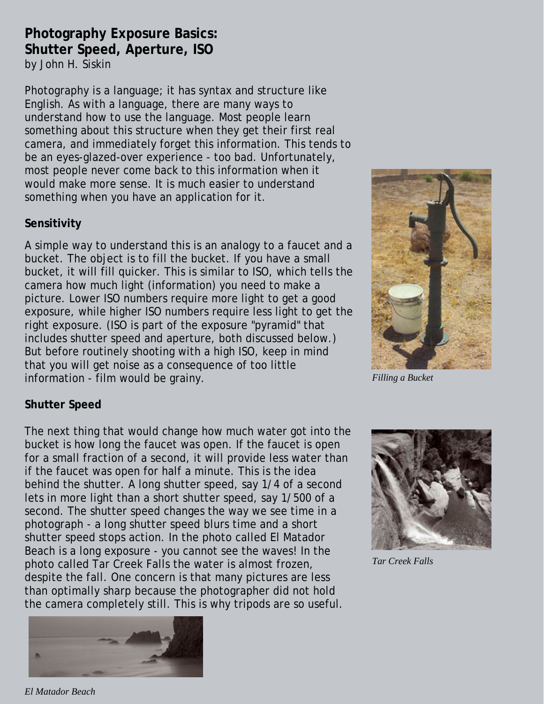## **Photography Exposure Basics: Shutter Speed, Aperture, ISO** by John H. Siskin

Photography is a language; it has syntax and structure like English. As with a language, there are many ways to understand how to use the language. Most people learn something about this structure when they get their first real camera, and immediately forget this information. This tends to be an eyes-glazed-over experience - too bad. Unfortunately, most people never come back to this information when it would make more sense. It is much easier to understand something when you have an application for it.

## **Sensitivity**

A simple way to understand this is an analogy to a faucet and a bucket. The object is to fill the bucket. If you have a small bucket, it will fill quicker. This is similar to ISO, which tells the camera how much light (information) you need to make a picture. Lower ISO numbers require more light to get a good exposure, while higher ISO numbers require less light to get the right exposure. (ISO is part of the exposure "pyramid" that includes shutter speed and aperture, both discussed below.) But before routinely shooting with a high ISO, keep in mind that you will get noise as a consequence of too little information - film would be grainy.



*Filling a Bucket*

## **Shutter Speed**

The next thing that would change how much water got into the bucket is how long the faucet was open. If the faucet is open for a small fraction of a second, it will provide less water than if the faucet was open for half a minute. This is the idea behind the shutter. A long shutter speed, say 1/4 of a second lets in more light than a short shutter speed, say 1/500 of a second. The shutter speed changes the way we see time in a photograph - a long shutter speed blurs time and a short shutter speed stops action. In the photo called El Matador Beach is a long exposure - you cannot see the waves! In the photo called Tar Creek Falls the water is almost frozen, despite the fall. One concern is that many pictures are less than optimally sharp because the photographer did not hold the camera completely still. This is why tripods are so useful.



*Tar Creek Falls*



*El Matador Beach*